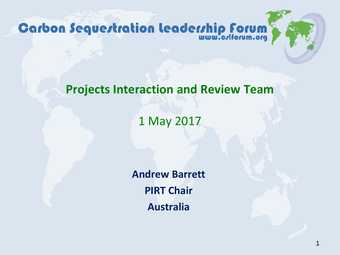**Carbon Sequertration Leaderrhip Forum** 

#### **Projects Interaction and Review Team**

#### 1 May 2017

**Andrew Barrett PIRT Chair Australia**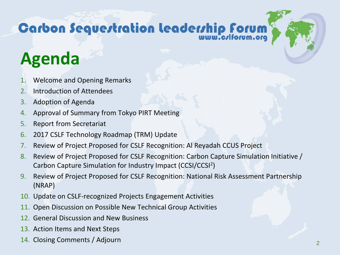## **Carbon Sequertration Leaderrhip Forum**

### **Agenda**

- 1. Welcome and Opening Remarks
- 2. Introduction of Attendees
- 3. Adoption of Agenda
- 4. Approval of Summary from Tokyo PIRT Meeting
- 5. Report from Secretariat
- 6. 2017 CSLF Technology Roadmap (TRM) Update
- 7. Review of Project Proposed for CSLF Recognition: Al Reyadah CCUS Project
- 8. Review of Project Proposed for CSLF Recognition: Carbon Capture Simulation Initiative / Carbon Capture Simulation for Industry Impact (CCSI/CCSI2)
- 9. Review of Project Proposed for CSLF Recognition: National Risk Assessment Partnership (NRAP)
- 10. Update on CSLF-recognized Projects Engagement Activities
- 11. Open Discussion on Possible New Technical Group Activities
- 12. General Discussion and New Business
- 13. Action Items and Next Steps
- 14. Closing Comments / Adjourn <sup>2</sup>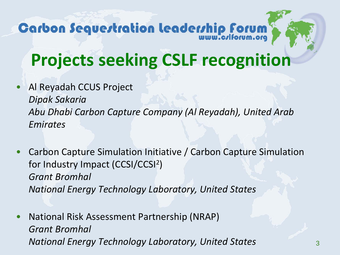## Carbon Sequertration Leaderrhip Forum

#### **Projects seeking CSLF recognition**

- Al Reyadah CCUS Project *Dipak Sakaria Abu Dhabi Carbon Capture Company (Al Reyadah), United Arab Emirates*
- Carbon Capture Simulation Initiative / Carbon Capture Simulation for Industry Impact (CCSI/CCSI2) *Grant Bromhal National Energy Technology Laboratory, United States*
- National Risk Assessment Partnership (NRAP) *Grant Bromhal National Energy Technology Laboratory, United States* <sup>3</sup>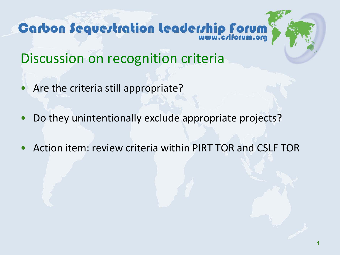# **Carbon Sequertration leaderrhip forum**



Discussion on recognition criteria

- Are the criteria still appropriate?
- Do they unintentionally exclude appropriate projects?
- Action item: review criteria within PIRT TOR and CSLF TOR